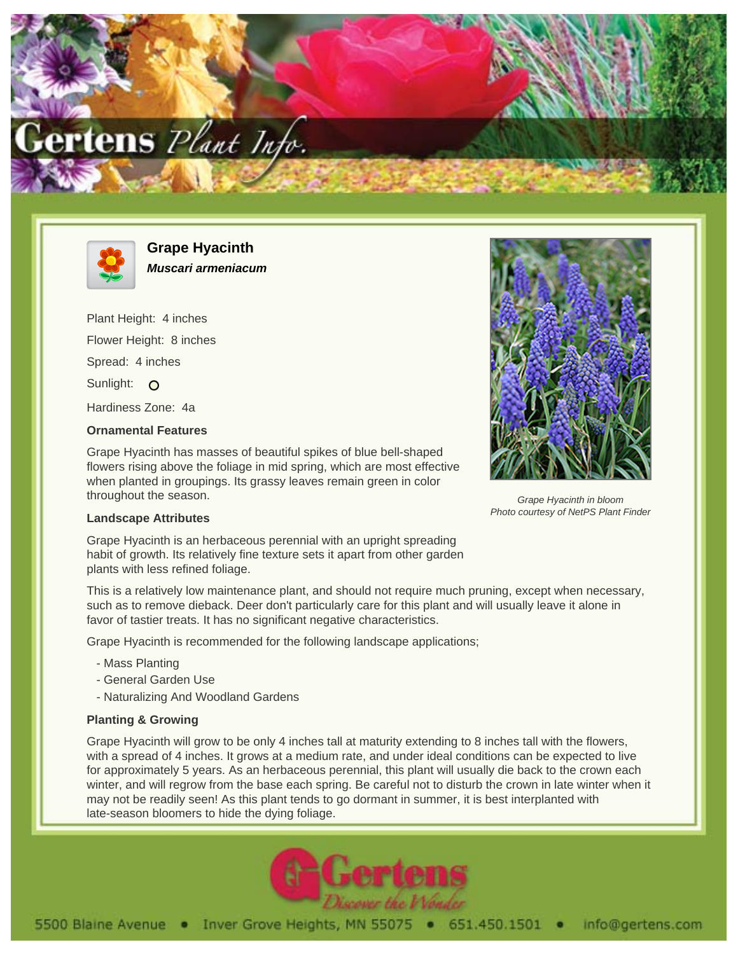



**Grape Hyacinth Muscari armeniacum**

Plant Height: 4 inches Flower Height: 8 inches Spread: 4 inches Sunlight: O Hardiness Zone: 4a

## **Ornamental Features**

Grape Hyacinth has masses of beautiful spikes of blue bell-shaped flowers rising above the foliage in mid spring, which are most effective when planted in groupings. Its grassy leaves remain green in color throughout the season.



Grape Hyacinth in bloom Photo courtesy of NetPS Plant Finder

## **Landscape Attributes**

Grape Hyacinth is an herbaceous perennial with an upright spreading habit of growth. Its relatively fine texture sets it apart from other garden plants with less refined foliage.

This is a relatively low maintenance plant, and should not require much pruning, except when necessary, such as to remove dieback. Deer don't particularly care for this plant and will usually leave it alone in favor of tastier treats. It has no significant negative characteristics.

Grape Hyacinth is recommended for the following landscape applications;

- Mass Planting
- General Garden Use
- Naturalizing And Woodland Gardens

## **Planting & Growing**

Grape Hyacinth will grow to be only 4 inches tall at maturity extending to 8 inches tall with the flowers, with a spread of 4 inches. It grows at a medium rate, and under ideal conditions can be expected to live for approximately 5 years. As an herbaceous perennial, this plant will usually die back to the crown each winter, and will regrow from the base each spring. Be careful not to disturb the crown in late winter when it may not be readily seen! As this plant tends to go dormant in summer, it is best interplanted with late-season bloomers to hide the dying foliage.